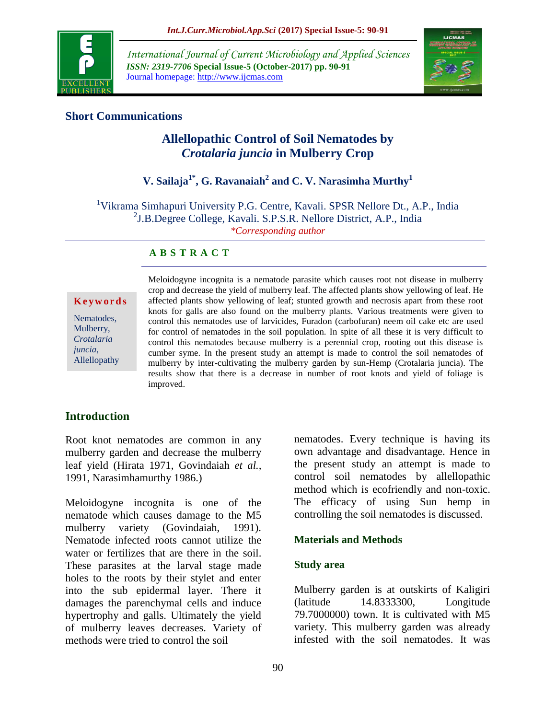

*International Journal of Current Microbiology and Applied Sciences ISSN: 2319-7706* **Special Issue-5 (October-2017) pp. 90-91** Journal homepage: http://www.ijcmas.com



## **Short Communications**

# **Allellopathic Control of Soil Nematodes by**  *Crotalaria juncia* **in Mulberry Crop**

# **V. Sailaja1\* , G. Ravanaiah<sup>2</sup> and C. V. Narasimha Murthy<sup>1</sup>**

<sup>1</sup>Vikrama Simhapuri University P.G. Centre, Kavali. SPSR Nellore Dt., A.P., India 2 J.B.Degree College, Kavali. S.P.S.R. Nellore District, A.P., India *\*Corresponding author*

### **A B S T R A C T**

#### **K e y w o r d s**

Nematodes, Mulberry, *Crotalaria juncia*, Allellopathy Meloidogyne incognita is a nematode parasite which causes root not disease in mulberry crop and decrease the yield of mulberry leaf. The affected plants show yellowing of leaf. He affected plants show yellowing of leaf; stunted growth and necrosis apart from these root knots for galls are also found on the mulberry plants. Various treatments were given to control this nematodes use of larvicides, Furadon (carbofuran) neem oil cake etc are used for control of nematodes in the soil population. In spite of all these it is very difficult to control this nematodes because mulberry is a perennial crop, rooting out this disease is cumber syme. In the present study an attempt is made to control the soil nematodes of mulberry by inter-cultivating the mulberry garden by sun-Hemp (Crotalaria juncia). The results show that there is a decrease in number of root knots and yield of foliage is improved.

## **Introduction**

Root knot nematodes are common in any mulberry garden and decrease the mulberry leaf yield (Hirata 1971, Govindaiah *et al.,* 1991, Narasimhamurthy 1986.)

Meloidogyne incognita is one of the nematode which causes damage to the M5 mulberry variety (Govindaiah, 1991). Nematode infected roots cannot utilize the water or fertilizes that are there in the soil. These parasites at the larval stage made holes to the roots by their stylet and enter into the sub epidermal layer. There it damages the parenchymal cells and induce hypertrophy and galls. Ultimately the yield of mulberry leaves decreases. Variety of methods were tried to control the soil

nematodes. Every technique is having its own advantage and disadvantage. Hence in the present study an attempt is made to control soil nematodes by allellopathic method which is ecofriendly and non-toxic. The efficacy of using Sun hemp in controlling the soil nematodes is discussed.

#### **Materials and Methods**

#### **Study area**

Mulberry garden is at outskirts of Kaligiri (latitude 14.8333300, Longitude 79.7000000) town. It is cultivated with M5 variety. This mulberry garden was already infested with the soil nematodes. It was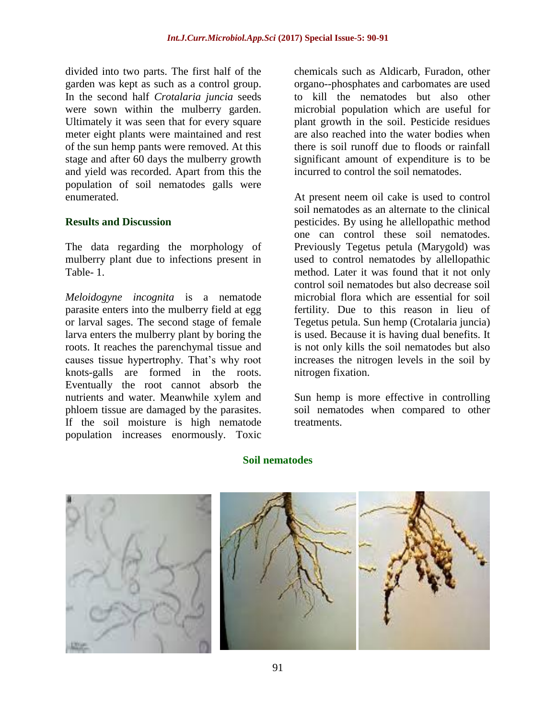divided into two parts. The first half of the garden was kept as such as a control group. In the second half *Crotalaria juncia* seeds were sown within the mulberry garden. Ultimately it was seen that for every square meter eight plants were maintained and rest of the sun hemp pants were removed. At this stage and after 60 days the mulberry growth and yield was recorded. Apart from this the population of soil nematodes galls were enumerated.

### **Results and Discussion**

The data regarding the morphology of mulberry plant due to infections present in Table- 1.

*Meloidogyne incognita* is a nematode parasite enters into the mulberry field at egg or larval sages. The second stage of female larva enters the mulberry plant by boring the roots. It reaches the parenchymal tissue and causes tissue hypertrophy. That's why root knots-galls are formed in the roots. Eventually the root cannot absorb the nutrients and water. Meanwhile xylem and phloem tissue are damaged by the parasites. If the soil moisture is high nematode population increases enormously. Toxic

chemicals such as Aldicarb, Furadon, other organo--phosphates and carbomates are used to kill the nematodes but also other microbial population which are useful for plant growth in the soil. Pesticide residues are also reached into the water bodies when there is soil runoff due to floods or rainfall significant amount of expenditure is to be incurred to control the soil nematodes.

At present neem oil cake is used to control soil nematodes as an alternate to the clinical pesticides. By using he allellopathic method one can control these soil nematodes. Previously Tegetus petula (Marygold) was used to control nematodes by allellopathic method. Later it was found that it not only control soil nematodes but also decrease soil microbial flora which are essential for soil fertility. Due to this reason in lieu of Tegetus petula. Sun hemp (Crotalaria juncia) is used. Because it is having dual benefits. It is not only kills the soil nematodes but also increases the nitrogen levels in the soil by nitrogen fixation.

Sun hemp is more effective in controlling soil nematodes when compared to other treatments.

#### **Soil nematodes**